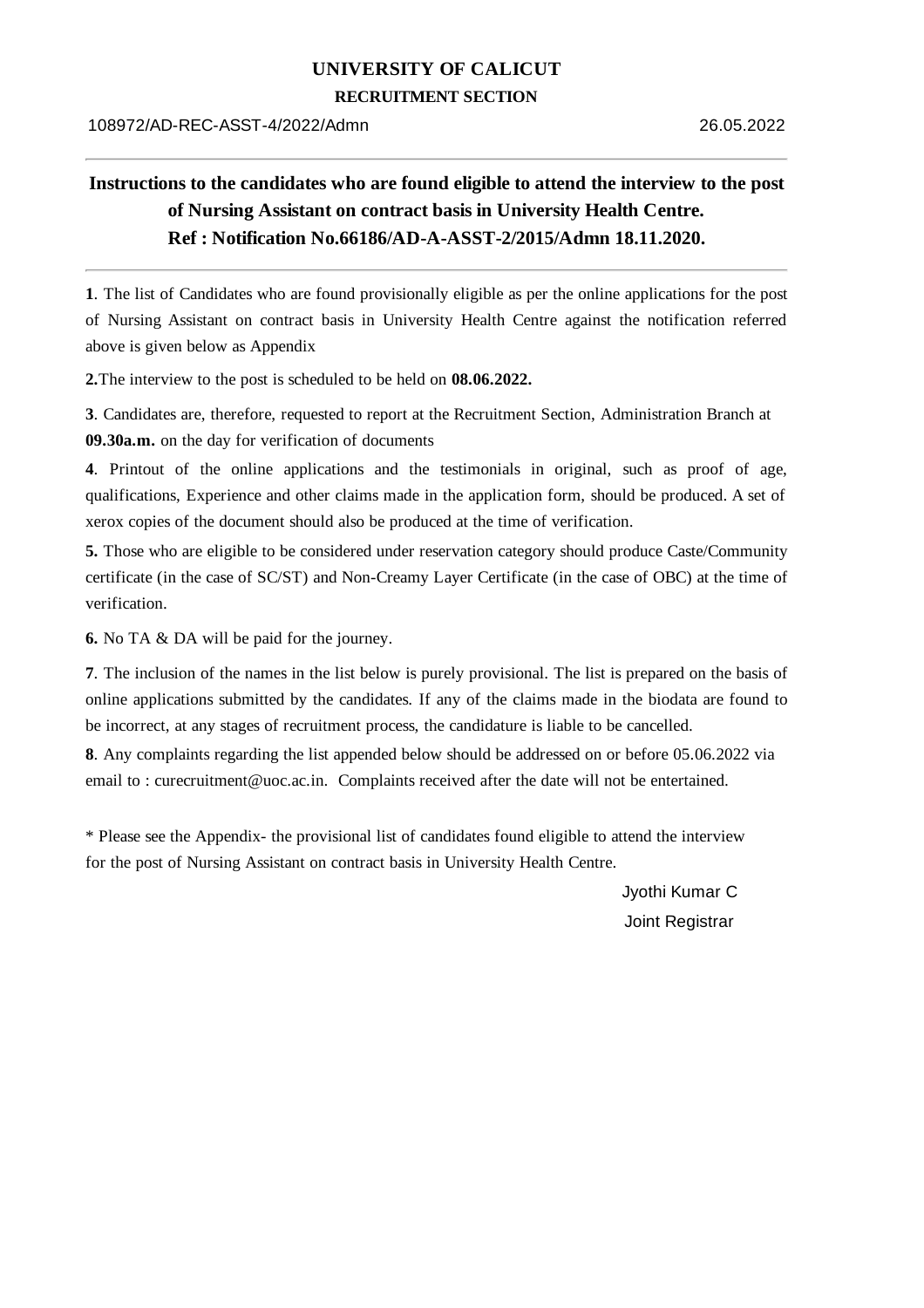## **UNIVERSITY OF CALICUT**

## **RECRUITMENT SECTION**

## **Instructions to the candidates who are found eligible to attend the interview to the post of Nursing Assistant on contract basis in University Health Centre. Ref : Notification No.66186/AD-A-ASST-2/2015/Admn 18.11.2020.**

**1**. The list of Candidates who are found provisionally eligible as per the online applications for the post of Nursing Assistant on contract basis in University Health Centre against the notification referred above is given below as Appendix

**2.**The interview to the post is scheduled to be held on **08.06.2022.**

**3**. Candidates are, therefore, requested to report at the Recruitment Section, Administration Branch at **09.30a.m.** on the day for verification of documents

**4**. Printout of the online applications and the testimonials in original, such as proof of age, qualifications, Experience and other claims made in the application form, should be produced. A set of xerox copies of the document should also be produced at the time of verification.

**5.** Those who are eligible to be considered under reservation category should produce Caste/Community certificate (in the case of SC/ST) and Non-Creamy Layer Certificate (in the case of OBC) at the time of verification.

**6.** No TA & DA will be paid for the journey.

**7**. The inclusion of the names in the list below is purely provisional. The list is prepared on the basis of online applications submitted by the candidates. If any of the claims made in the biodata are found to be incorrect, at any stages of recruitment process, the candidature is liable to be cancelled.

**8**. Any complaints regarding the list appended below should be addressed on or before 05.06.2022 via email to : curecruitment@uoc.ac.in. Complaints received after the date will not be entertained.

\* Please see the Appendix- the provisional list of candidates found eligible to attend the interview for the post of Nursing Assistant on contract basis in University Health Centre.

> Jyothi Kumar C Joint Registrar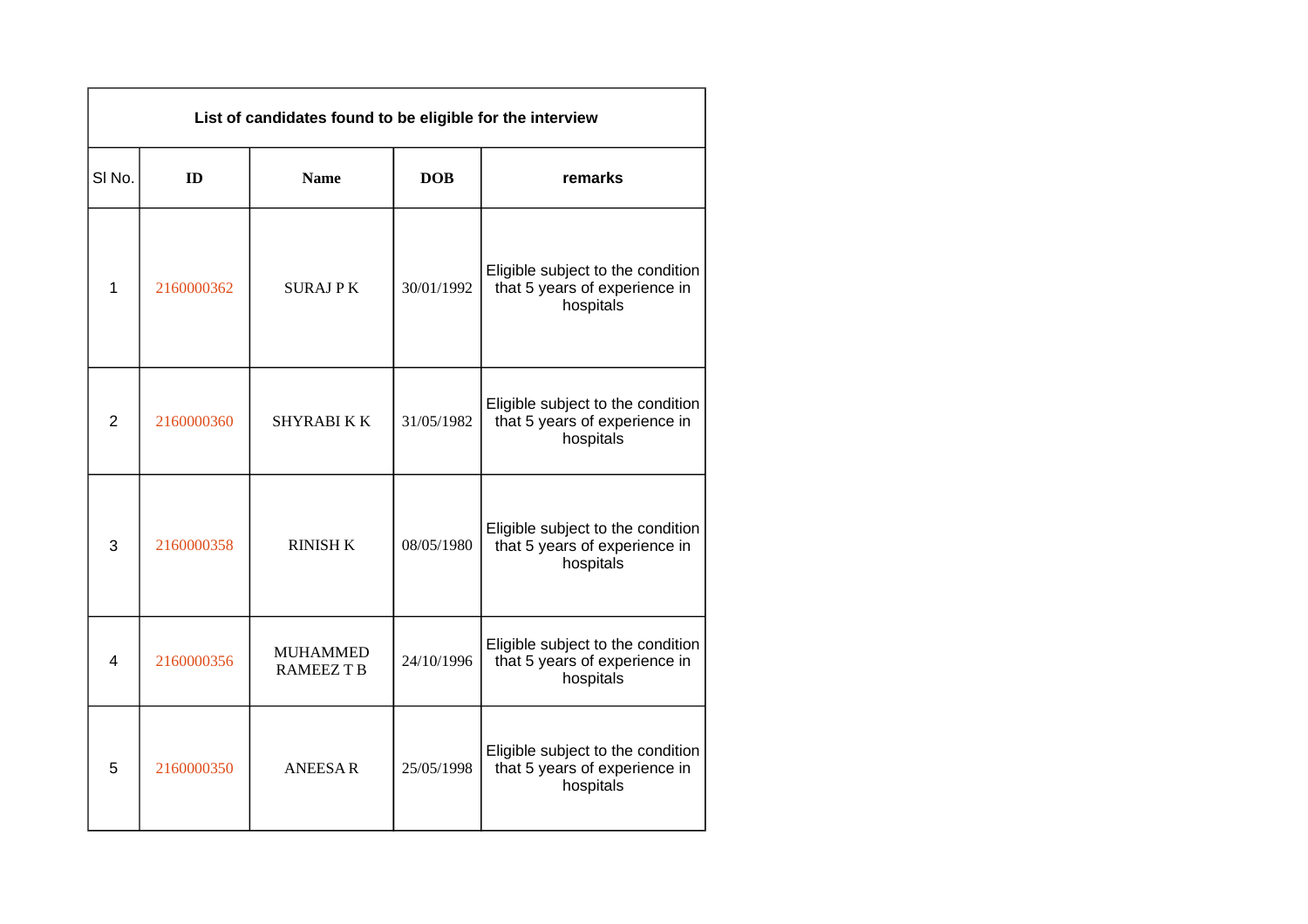| List of candidates found to be eligible for the interview |            |                                      |            |                                                                                 |  |
|-----------------------------------------------------------|------------|--------------------------------------|------------|---------------------------------------------------------------------------------|--|
| SI <sub>No.</sub>                                         | ID         | <b>Name</b>                          | <b>DOB</b> | remarks                                                                         |  |
| $\mathbf{1}$                                              | 2160000362 | <b>SURAJPK</b>                       | 30/01/1992 | Eligible subject to the condition<br>that 5 years of experience in<br>hospitals |  |
| $\overline{2}$                                            | 2160000360 | <b>SHYRABI K K</b>                   | 31/05/1982 | Eligible subject to the condition<br>that 5 years of experience in<br>hospitals |  |
| 3                                                         | 2160000358 | <b>RINISH K</b>                      | 08/05/1980 | Eligible subject to the condition<br>that 5 years of experience in<br>hospitals |  |
| 4                                                         | 2160000356 | <b>MUHAMMED</b><br><b>RAMEEZ T B</b> | 24/10/1996 | Eligible subject to the condition<br>that 5 years of experience in<br>hospitals |  |
| 5                                                         | 2160000350 | <b>ANEESAR</b>                       | 25/05/1998 | Eligible subject to the condition<br>that 5 years of experience in<br>hospitals |  |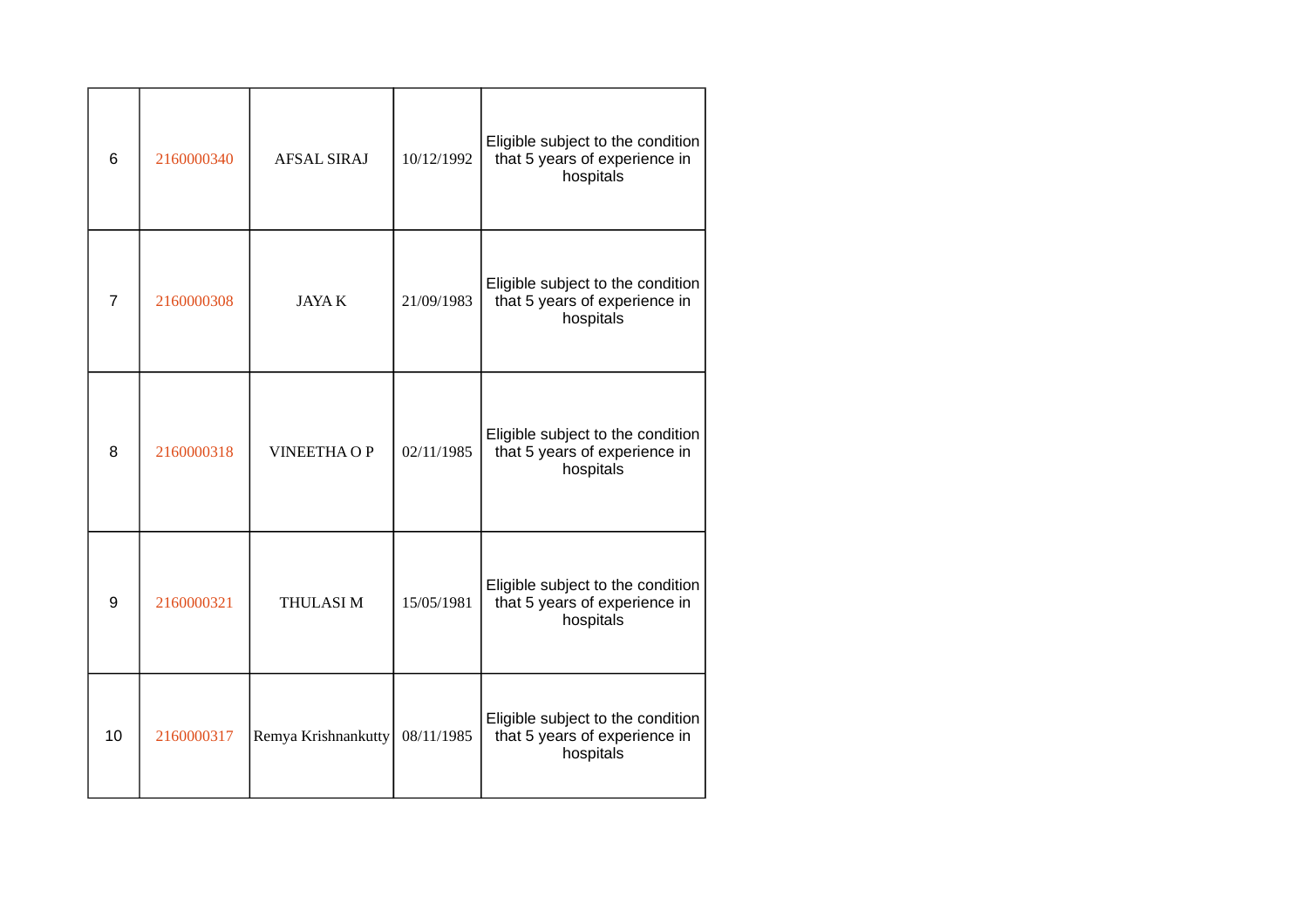| $6\phantom{1}$ | 2160000340 | <b>AFSAL SIRAJ</b>  | 10/12/1992 | Eligible subject to the condition<br>that 5 years of experience in<br>hospitals |
|----------------|------------|---------------------|------------|---------------------------------------------------------------------------------|
| $\overline{7}$ | 2160000308 | <b>JAYA K</b>       | 21/09/1983 | Eligible subject to the condition<br>that 5 years of experience in<br>hospitals |
| 8              | 2160000318 | <b>VINEETHA OP</b>  | 02/11/1985 | Eligible subject to the condition<br>that 5 years of experience in<br>hospitals |
| 9              | 2160000321 | THULASI M           | 15/05/1981 | Eligible subject to the condition<br>that 5 years of experience in<br>hospitals |
| 10             | 2160000317 | Remya Krishnankutty | 08/11/1985 | Eligible subject to the condition<br>that 5 years of experience in<br>hospitals |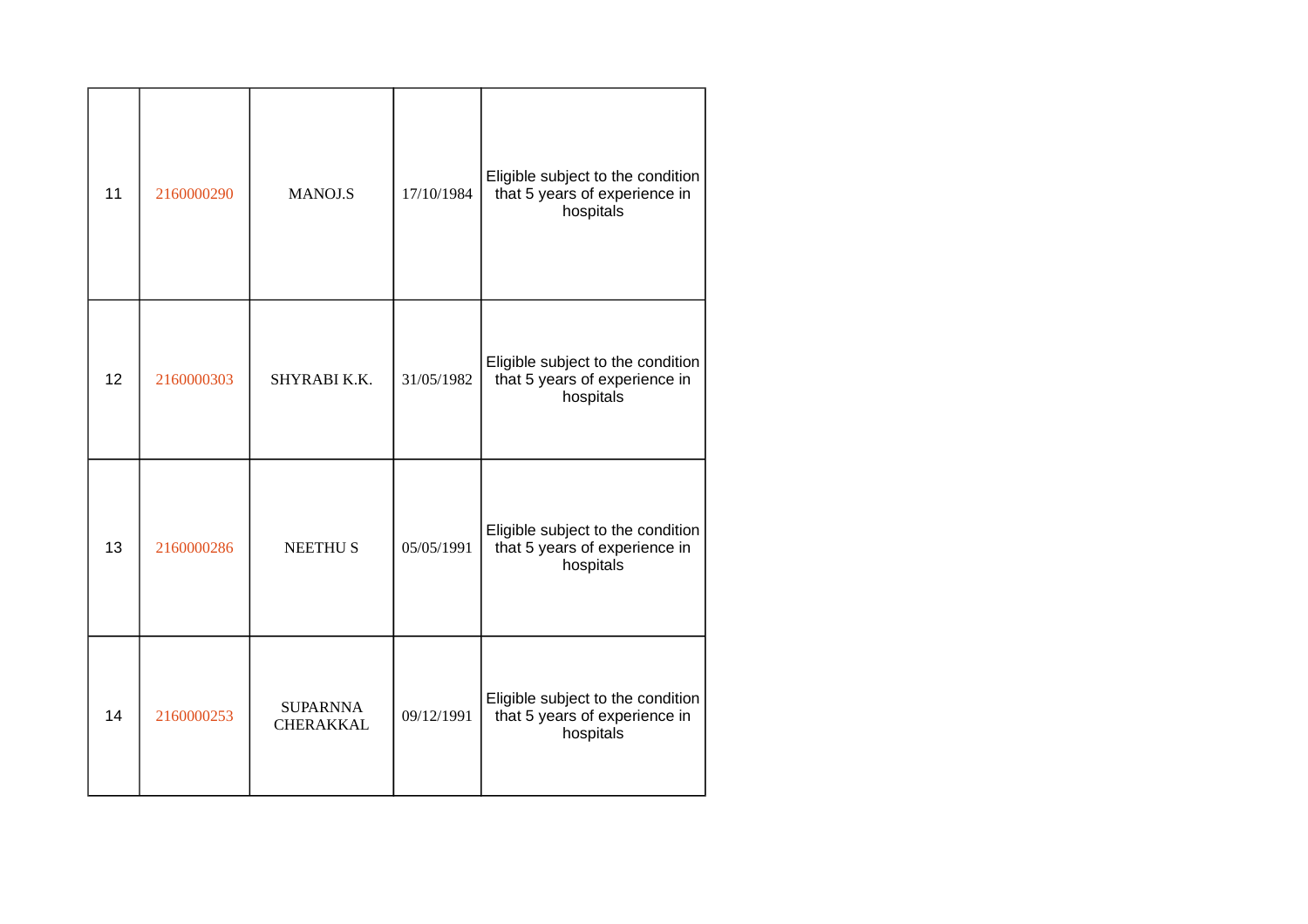| 11 | 2160000290 | <b>MANOJ.S</b>               | 17/10/1984 | Eligible subject to the condition<br>that 5 years of experience in<br>hospitals |
|----|------------|------------------------------|------------|---------------------------------------------------------------------------------|
| 12 | 2160000303 | SHYRABI K.K.                 | 31/05/1982 | Eligible subject to the condition<br>that 5 years of experience in<br>hospitals |
| 13 | 2160000286 | <b>NEETHUS</b>               | 05/05/1991 | Eligible subject to the condition<br>that 5 years of experience in<br>hospitals |
| 14 | 2160000253 | <b>SUPARNNA</b><br>CHERAKKAL | 09/12/1991 | Eligible subject to the condition<br>that 5 years of experience in<br>hospitals |